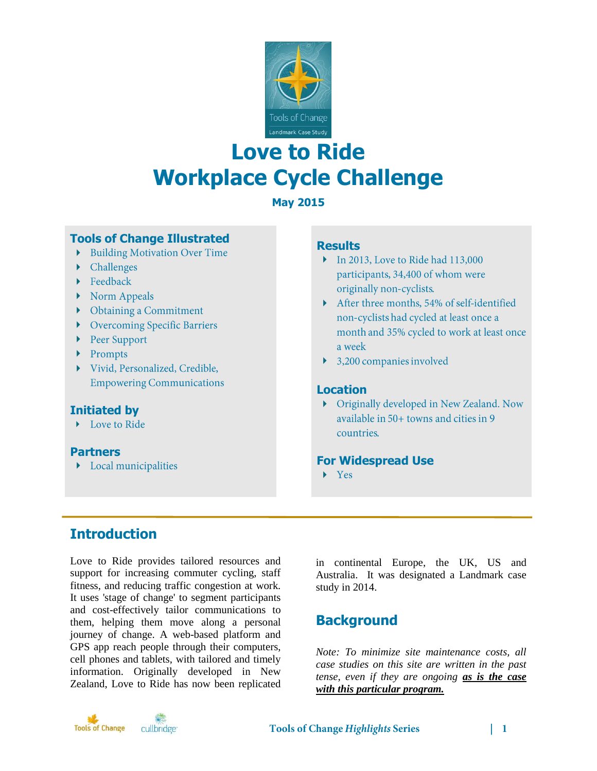

# **Love to Ride Workplace Cycle Challenge**

### **May 2015**

### **Tools of Change Illustrated**

- Building Motivation Over Time
- $\blacktriangleright$  Challenges
- $\blacktriangleright$  Feedback
- $\triangleright$  Norm Appeals
- Obtaining a Commitment
- Overcoming Specific Barriers
- ▶ Peer Support
- Prompts
- Vivid, Personalized, Credible, **Empowering Communications**

### **Initiated by**

Love to Ride

### **Partners**

 $\blacktriangleright$  Local municipalities

### **Results**

- $\triangleright$  In 2013, Love to Ride had 113,000 participants, 34,400 of whom were originally non-cyclists.
- After three months, 54% of self-identified non-cyclists had cycled at least once a month and 35% cycled to work at least once a week
- $\blacktriangleright$  3,200 companies involved

### **Location**

• Originally developed in New Zealand. Now available in 50+ towns and cities in 9 countries.

### **For Widespread Use**

 $\blacktriangleright$  Yes

# **Introduction**

Love to Ride provides tailored resources and support for increasing commuter cycling, staff fitness, and reducing traffic congestion at work. It uses 'stage of change' to segment participants and cost-effectively tailor communications to them, helping them move along a personal journey of change. A web-based platform and GPS app reach people through their computers, cell phones and tablets, with tailored and timely information. Originally developed in New Zealand, Love to Ride has now been replicated

in continental Europe, the UK, US and Australia. It was designated a Landmark case study in 2014.

# **Background**

*Note: To minimize site maintenance costs, all case studies on this site are written in the past tense, even if they are ongoing as is the case with this particular program.*

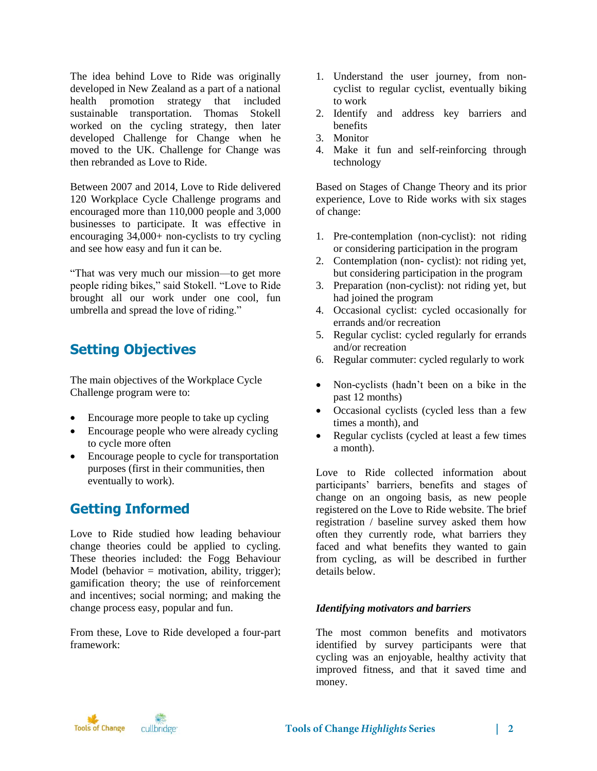The idea behind Love to Ride was originally developed in New Zealand as a part of a national health promotion strategy that included sustainable transportation. Thomas Stokell worked on the cycling strategy, then later developed Challenge for Change when he moved to the UK. Challenge for Change was then rebranded as Love to Ride.

Between 2007 and 2014, Love to Ride delivered 120 Workplace Cycle Challenge programs and encouraged more than 110,000 people and 3,000 businesses to participate. It was effective in encouraging 34,000+ non-cyclists to try cycling and see how easy and fun it can be.

"That was very much our mission—to get more people riding bikes," said Stokell. "Love to Ride brought all our work under one cool, fun umbrella and spread the love of riding."

# **Setting Objectives**

The main objectives of the Workplace Cycle Challenge program were to:

- Encourage more people to take up cycling
- Encourage people who were already cycling to cycle more often
- Encourage people to cycle for transportation purposes (first in their communities, then eventually to work).

# **Getting Informed**

Love to Ride studied how leading behaviour change theories could be applied to cycling. These theories included: the Fogg Behaviour Model (behavior  $=$  motivation, ability, trigger); gamification theory; the use of reinforcement and incentives; social norming; and making the change process easy, popular and fun.

From these, Love to Ride developed a four-part framework:

- 1. Understand the user journey, from noncyclist to regular cyclist, eventually biking to work
- 2. Identify and address key barriers and benefits
- 3. Monitor
- 4. Make it fun and self-reinforcing through technology

Based on Stages of Change Theory and its prior experience, Love to Ride works with six stages of change:

- 1. Pre-contemplation (non-cyclist): not riding or considering participation in the program
- 2. Contemplation (non- cyclist): not riding yet, but considering participation in the program
- 3. Preparation (non-cyclist): not riding yet, but had joined the program
- 4. Occasional cyclist: cycled occasionally for errands and/or recreation
- 5. Regular cyclist: cycled regularly for errands and/or recreation
- 6. Regular commuter: cycled regularly to work
- Non-cyclists (hadn't been on a bike in the past 12 months)
- Occasional cyclists (cycled less than a few times a month), and
- Regular cyclists (cycled at least a few times a month).

Love to Ride collected information about participants' barriers, benefits and stages of change on an ongoing basis, as new people registered on the Love to Ride website. The brief registration / baseline survey asked them how often they currently rode, what barriers they faced and what benefits they wanted to gain from cycling, as will be described in further details below.

### *Identifying motivators and barriers*

The most common benefits and motivators identified by survey participants were that cycling was an enjoyable, healthy activity that improved fitness, and that it saved time and money.

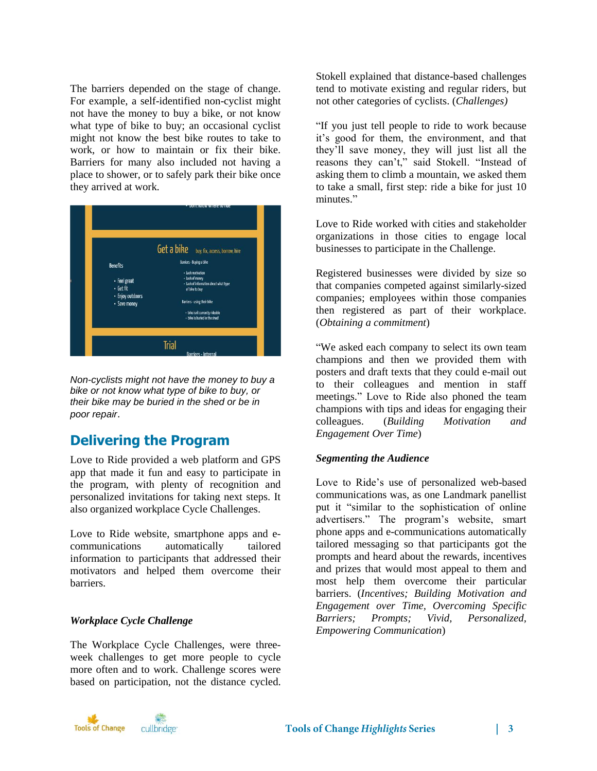The barriers depended on the stage of change. For example, a self-identified non-cyclist might not have the money to buy a bike, or not know what type of bike to buy; an occasional cyclist might not know the best bike routes to take to work, or how to maintain or fix their bike. Barriers for many also included not having a place to shower, or to safely park their bike once they arrived at work.



*Non-cyclists might not have the money to buy a bike or not know what type of bike to buy, or their bike may be buried in the shed or be in poor repair*.

# **Delivering the Program**

Love to Ride provided a web platform and GPS app that made it fun and easy to participate in the program, with plenty of recognition and personalized invitations for taking next steps. It also organized workplace Cycle Challenges.

Love to Ride website, smartphone apps and ecommunications automatically tailored information to participants that addressed their motivators and helped them overcome their barriers.

#### *Workplace Cycle Challenge*

The Workplace Cycle Challenges, were threeweek challenges to get more people to cycle more often and to work. Challenge scores were based on participation, not the distance cycled. Stokell explained that distance-based challenges tend to motivate existing and regular riders, but not other categories of cyclists. (*Challenges)*

"If you just tell people to ride to work because it's good for them, the environment, and that they'll save money, they will just list all the reasons they can't," said Stokell. "Instead of asking them to climb a mountain, we asked them to take a small, first step: ride a bike for just 10 minutes."

Love to Ride worked with cities and stakeholder organizations in those cities to engage local businesses to participate in the Challenge.

Registered businesses were divided by size so that companies competed against similarly-sized companies; employees within those companies then registered as part of their workplace. (*Obtaining a commitment*)

"We asked each company to select its own team champions and then we provided them with posters and draft texts that they could e-mail out to their colleagues and mention in staff meetings." Love to Ride also phoned the team champions with tips and ideas for engaging their colleagues. (*Building Motivation and Engagement Over Time*)

#### *Segmenting the Audience*

Love to Ride's use of personalized web-based communications was, as one Landmark panellist put it "similar to the sophistication of online advertisers." The program's website, smart phone apps and e-communications automatically tailored messaging so that participants got the prompts and heard about the rewards, incentives and prizes that would most appeal to them and most help them overcome their particular barriers. (*Incentives; Building Motivation and Engagement over Time, Overcoming Specific Barriers; Prompts; Vivid, Personalized, Empowering Communication*)

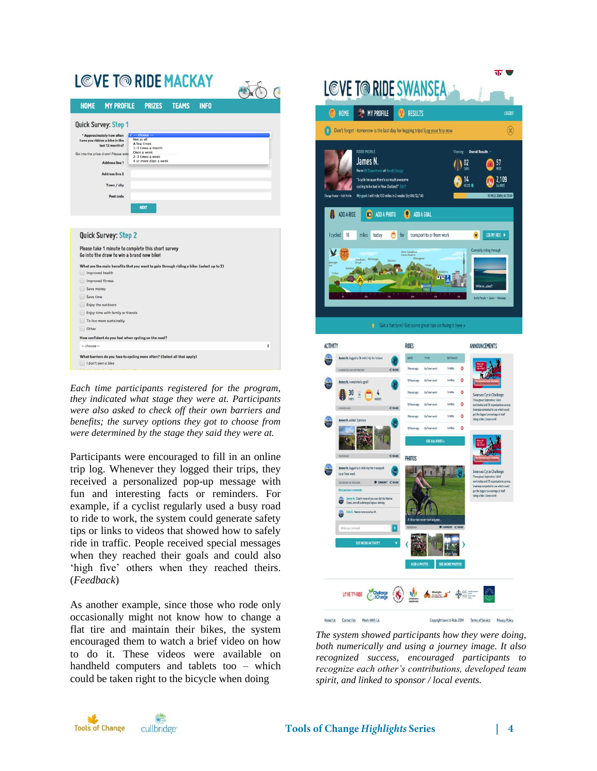| <b>MY PROFILE</b><br><b>HOME</b>                    | <b>PRIZES</b><br><b>TEAMS</b><br><b>INFO</b>                                             |  |
|-----------------------------------------------------|------------------------------------------------------------------------------------------|--|
|                                                     |                                                                                          |  |
| <b>Quick Survey: Step 1</b>                         |                                                                                          |  |
| * Approximately how often                           | $\sqrt{-}$ -- choose -                                                                   |  |
| have you ridden a bike in the                       | Not at all<br>A few times                                                                |  |
| last 12 months?                                     | 1-3 times a month<br>Once a week                                                         |  |
| Go into the prize draw! Please ente                 | 2-3 times a week                                                                         |  |
| <b>Address line 1</b>                               | 4 or more days a week                                                                    |  |
| <b>Address line 2</b>                               |                                                                                          |  |
| Town / city                                         |                                                                                          |  |
| Post code                                           |                                                                                          |  |
|                                                     |                                                                                          |  |
|                                                     | <b>NEXT</b>                                                                              |  |
|                                                     |                                                                                          |  |
|                                                     |                                                                                          |  |
|                                                     |                                                                                          |  |
|                                                     |                                                                                          |  |
| Quick Survey: Step 2                                |                                                                                          |  |
|                                                     | Please take 1 minute to complete this short survey                                       |  |
| Go into the draw to win a brand new bike!           |                                                                                          |  |
|                                                     | What are the main benefits that you want to gain through riding a bike: (select up to 3) |  |
| Improved health                                     |                                                                                          |  |
| <b>Improved fitness</b>                             |                                                                                          |  |
| Save money                                          |                                                                                          |  |
| Save time                                           |                                                                                          |  |
| Enjoy the outdoors                                  |                                                                                          |  |
| Enjoy time with family or friends                   |                                                                                          |  |
| To live more sustainably                            |                                                                                          |  |
| Other                                               |                                                                                          |  |
| How confident do you feel when cycling on the road? |                                                                                          |  |

*Each time participants registered for the program, they indicated what stage they were at. Participants were also asked to check off their own barriers and benefits; the survey options they got to choose from were determined by the stage they said they were at.*

Participants were encouraged to fill in an online trip log. Whenever they logged their trips, they received a personalized pop-up message with fun and interesting facts or reminders. For example, if a cyclist regularly used a busy road to ride to work, the system could generate safety tips or links to videos that showed how to safely ride in traffic. People received special messages when they reached their goals and could also 'high five' others when they reached theirs. (*Feedback*)

As another example, since those who rode only occasionally might not know how to change a flat tire and maintain their bikes, the system encouraged them to watch a brief video on how to do it. These videos were available on handheld computers and tablets too – which could be taken right to the bicycle when doing



*The system showed participants how they were doing, both numerically and using a journey image. It also recognized success, encouraged participants to recognize each other's contributions, developed team spirit, and linked to sponsor / local events.*

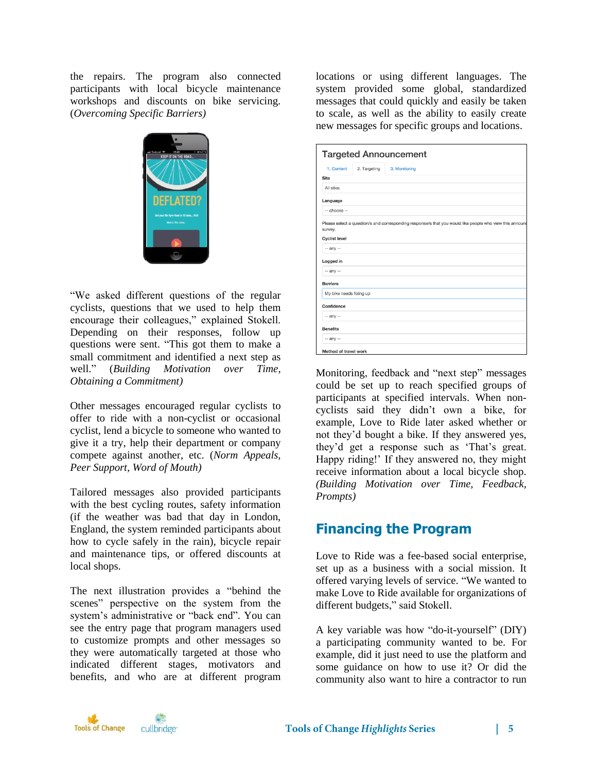the repairs. The program also connected participants with local bicycle maintenance workshops and discounts on bike servicing. (*Overcoming Specific Barriers)*



"We asked different questions of the regular cyclists, questions that we used to help them encourage their colleagues," explained Stokell. Depending on their responses, follow up questions were sent. "This got them to make a small commitment and identified a next step as well." (*Building Motivation over Time, Obtaining a Commitment)*

Other messages encouraged regular cyclists to offer to ride with a non-cyclist or occasional cyclist, lend a bicycle to someone who wanted to give it a try, help their department or company compete against another, etc. (*Norm Appeals, Peer Support, Word of Mouth)*

Tailored messages also provided participants with the best cycling routes, safety information (if the weather was bad that day in London, England, the system reminded participants about how to cycle safely in the rain), bicycle repair and maintenance tips, or offered discounts at local shops.

The next illustration provides a "behind the scenes" perspective on the system from the system's administrative or "back end". You can see the entry page that program managers used to customize prompts and other messages so they were automatically targeted at those who indicated different stages, motivators and benefits, and who are at different program

locations or using different languages. The system provided some global, standardized messages that could quickly and easily be taken to scale, as well as the ability to easily create new messages for specific groups and locations.

| <b>Targeted Announcement</b> |              |                                                                                                          |  |
|------------------------------|--------------|----------------------------------------------------------------------------------------------------------|--|
| 1. Content                   | 2. Targeting | 3. Monitoring                                                                                            |  |
| <b>Site</b>                  |              |                                                                                                          |  |
| All sites                    |              |                                                                                                          |  |
| Language                     |              |                                                                                                          |  |
| -- choose --                 |              |                                                                                                          |  |
| survey.                      |              | Please select a question/s and corresponding response/s that you would like people who view this annound |  |
| <b>Cyclist level</b>         |              |                                                                                                          |  |
| -- any --                    |              |                                                                                                          |  |
| Logged in                    |              |                                                                                                          |  |
| -- any --                    |              |                                                                                                          |  |
| <b>Barriers</b>              |              |                                                                                                          |  |
| My bike needs fixing up      |              |                                                                                                          |  |
| Confidence                   |              |                                                                                                          |  |
| $-$ any $-$                  |              |                                                                                                          |  |
| <b>Benefits</b>              |              |                                                                                                          |  |
| -- any --                    |              |                                                                                                          |  |
| Method of travel work        |              |                                                                                                          |  |

Monitoring, feedback and "next step" messages could be set up to reach specified groups of participants at specified intervals. When noncyclists said they didn't own a bike, for example, Love to Ride later asked whether or not they'd bought a bike. If they answered yes, they'd get a response such as 'That's great. Happy riding!' If they answered no, they might receive information about a local bicycle shop. *(Building Motivation over Time, Feedback, Prompts)*

# **Financing the Program**

Love to Ride was a fee-based social enterprise, set up as a business with a social mission. It offered varying levels of service. "We wanted to make Love to Ride available for organizations of different budgets," said Stokell.

A key variable was how "do-it-yourself" (DIY) a participating community wanted to be. For example, did it just need to use the platform and some guidance on how to use it? Or did the community also want to hire a contractor to run

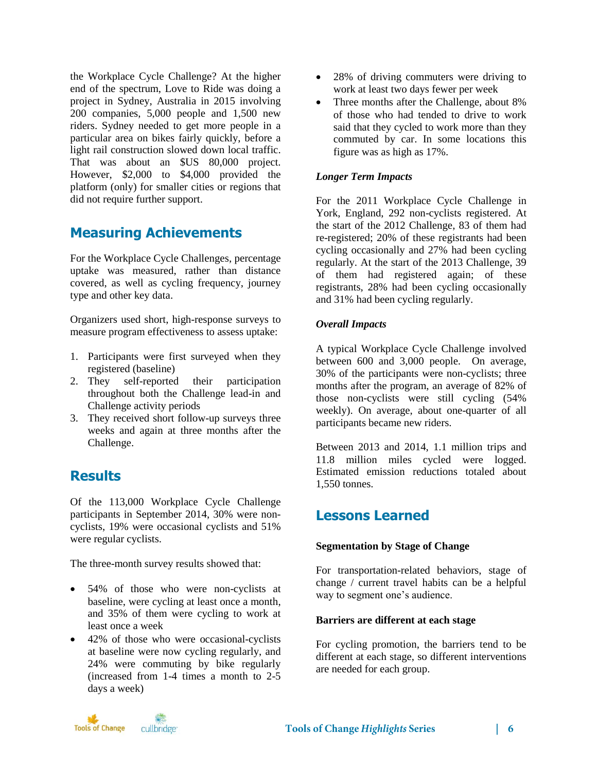the Workplace Cycle Challenge? At the higher end of the spectrum, Love to Ride was doing a project in Sydney, Australia in 2015 involving 200 companies, 5,000 people and 1,500 new riders. Sydney needed to get more people in a particular area on bikes fairly quickly, before a light rail construction slowed down local traffic. That was about an \$US 80,000 project. However, \$2,000 to \$4,000 provided the platform (only) for smaller cities or regions that did not require further support.

# **Measuring Achievements**

For the Workplace Cycle Challenges, percentage uptake was measured, rather than distance covered, as well as cycling frequency, journey type and other key data.

Organizers used short, high-response surveys to measure program effectiveness to assess uptake:

- 1. Participants were first surveyed when they registered (baseline)
- 2. They self-reported their participation throughout both the Challenge lead-in and Challenge activity periods
- 3. They received short follow-up surveys three weeks and again at three months after the Challenge.

# **Results**

Of the 113,000 Workplace Cycle Challenge participants in September 2014, 30% were noncyclists, 19% were occasional cyclists and 51% were regular cyclists.

The three-month survey results showed that:

- 54% of those who were non-cyclists at baseline, were cycling at least once a month, and 35% of them were cycling to work at least once a week
- 42% of those who were occasional-cyclists at baseline were now cycling regularly, and 24% were commuting by bike regularly (increased from 1-4 times a month to 2-5 days a week)
- 28% of driving commuters were driving to work at least two days fewer per week
- Three months after the Challenge, about 8% of those who had tended to drive to work said that they cycled to work more than they commuted by car. In some locations this figure was as high as 17%.

### *Longer Term Impacts*

For the 2011 Workplace Cycle Challenge in York, England, 292 non-cyclists registered. At the start of the 2012 Challenge, 83 of them had re-registered; 20% of these registrants had been cycling occasionally and 27% had been cycling regularly. At the start of the 2013 Challenge, 39 of them had registered again; of these registrants, 28% had been cycling occasionally and 31% had been cycling regularly.

### *Overall Impacts*

A typical Workplace Cycle Challenge involved between 600 and 3,000 people. On average, 30% of the participants were non-cyclists; three months after the program, an average of 82% of those non-cyclists were still cycling (54% weekly). On average, about one-quarter of all participants became new riders.

Between 2013 and 2014, 1.1 million trips and 11.8 million miles cycled were logged. Estimated emission reductions totaled about 1,550 tonnes.

# **Lessons Learned**

### **Segmentation by Stage of Change**

For transportation-related behaviors, stage of change / current travel habits can be a helpful way to segment one's audience.

#### **Barriers are different at each stage**

For cycling promotion, the barriers tend to be different at each stage, so different interventions are needed for each group.